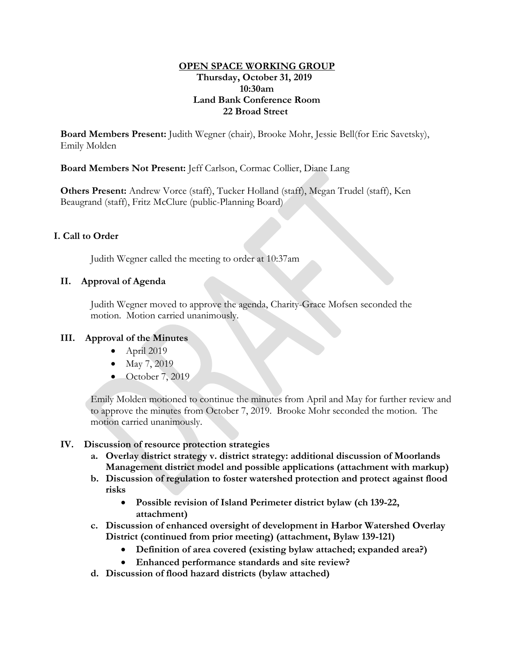### **OPEN SPACE WORKING GROUP Thursday, October 31, 2019 10:30am Land Bank Conference Room 22 Broad Street**

**Board Members Present:** Judith Wegner (chair), Brooke Mohr, Jessie Bell(for Eric Savetsky), Emily Molden

**Board Members Not Present:** Jeff Carlson, Cormac Collier, Diane Lang

**Others Present:** Andrew Vorce (staff), Tucker Holland (staff), Megan Trudel (staff), Ken Beaugrand (staff), Fritz McClure (public-Planning Board)

## **I. Call to Order**

Judith Wegner called the meeting to order at 10:37am

## **II. Approval of Agenda**

Judith Wegner moved to approve the agenda, Charity-Grace Mofsen seconded the motion. Motion carried unanimously.

### **III. Approval of the Minutes**

- April 2019
- May 7, 2019
- October 7, 2019

Emily Molden motioned to continue the minutes from April and May for further review and to approve the minutes from October 7, 2019. Brooke Mohr seconded the motion. The motion carried unanimously.

### **IV. Discussion of resource protection strategies**

- **a. Overlay district strategy v. district strategy: additional discussion of Moorlands Management district model and possible applications (attachment with markup)**
- **b. Discussion of regulation to foster watershed protection and protect against flood risks**
	- **Possible revision of Island Perimeter district bylaw (ch 139-22, attachment)**
- **c. Discussion of enhanced oversight of development in Harbor Watershed Overlay District (continued from prior meeting) (attachment, Bylaw 139-121)**
	- **Definition of area covered (existing bylaw attached; expanded area?)**
	- **Enhanced performance standards and site review?**
- **d. Discussion of flood hazard districts (bylaw attached)**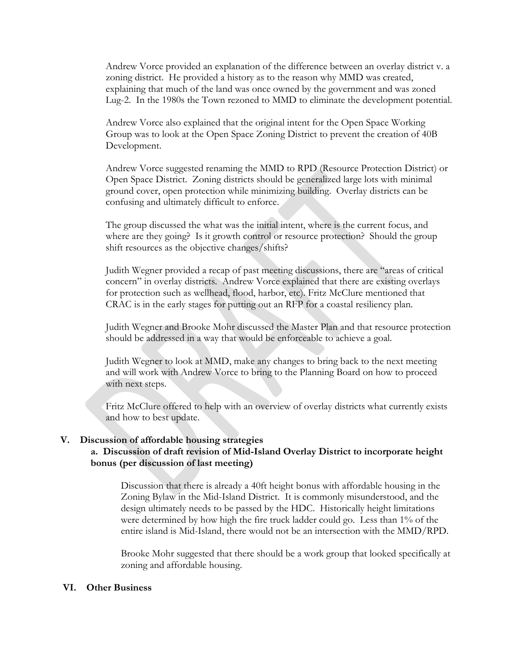Andrew Vorce provided an explanation of the difference between an overlay district v. a zoning district. He provided a history as to the reason why MMD was created, explaining that much of the land was once owned by the government and was zoned Lug-2. In the 1980s the Town rezoned to MMD to eliminate the development potential.

Andrew Vorce also explained that the original intent for the Open Space Working Group was to look at the Open Space Zoning District to prevent the creation of 40B Development.

Andrew Vorce suggested renaming the MMD to RPD (Resource Protection District) or Open Space District. Zoning districts should be generalized large lots with minimal ground cover, open protection while minimizing building. Overlay districts can be confusing and ultimately difficult to enforce.

The group discussed the what was the initial intent, where is the current focus, and where are they going? Is it growth control or resource protection? Should the group shift resources as the objective changes/shifts?

Judith Wegner provided a recap of past meeting discussions, there are "areas of critical concern" in overlay districts. Andrew Vorce explained that there are existing overlays for protection such as wellhead, flood, harbor, etc). Fritz McClure mentioned that CRAC is in the early stages for putting out an RFP for a coastal resiliency plan.

Judith Wegner and Brooke Mohr discussed the Master Plan and that resource protection should be addressed in a way that would be enforceable to achieve a goal.

Judith Wegner to look at MMD, make any changes to bring back to the next meeting and will work with Andrew Vorce to bring to the Planning Board on how to proceed with next steps.

Fritz McClure offered to help with an overview of overlay districts what currently exists and how to best update.

#### **V. Discussion of affordable housing strategies**

### **a. Discussion of draft revision of Mid-Island Overlay District to incorporate height bonus (per discussion of last meeting)**

Discussion that there is already a 40ft height bonus with affordable housing in the Zoning Bylaw in the Mid-Island District. It is commonly misunderstood, and the design ultimately needs to be passed by the HDC. Historically height limitations were determined by how high the fire truck ladder could go. Less than 1% of the entire island is Mid-Island, there would not be an intersection with the MMD/RPD.

Brooke Mohr suggested that there should be a work group that looked specifically at zoning and affordable housing.

#### **VI. Other Business**